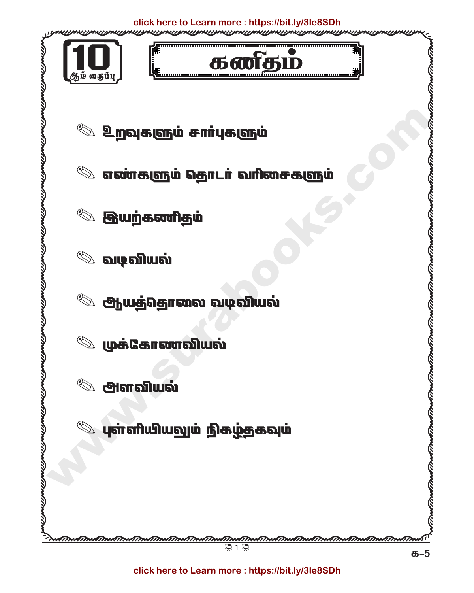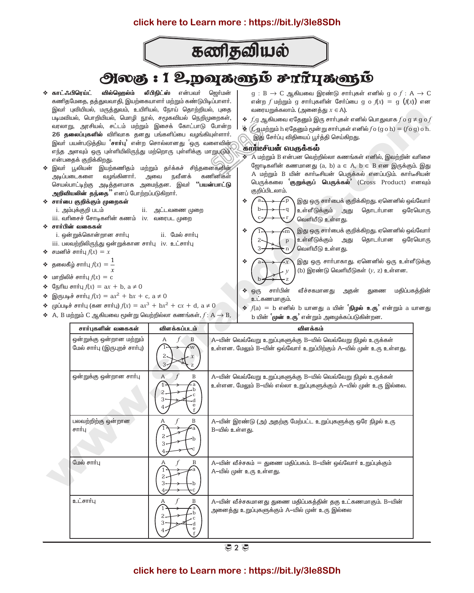

# **அலகு : 1 உறவுகளும் சார்புகளும்**

 $\hat{\mathbf{x}}$ 

 $\ddot{\textbf{z}}$ 

- **லீபிநிட்ஸ்** என்பவர் ஜெர்மன் ∻ காட்ஃபிாெய்ட் வில்ஹெல்ம் கணிதமேதை, தத்துவவாதி, இயற்கையாளர் மற்றும் கண்டுபிடிப்பாளர். இவர் புவியியல், மருத்துவம், உயிரியல், நோய் தொற்றியல், புதை படிமவியல், பொறியியல், மொழி நூல், சமூகவியல் நெறிமுறைகள், வரலாறு, அரசியல், சட்டம் மற்றும் இசைக் கோட்பாடு போன்ற 26 தலைப்புகளில் விரிவாக தனது பங்களிப்பை வழங்கியுள்ளார். இவா் பயன்படுத்திய **`சாா்பு'** என்ற சொல்லானது `ஒரு வளைவின் எந்த அளவும் ஒரு புள்ளியிலிருந்து மற்றொரு புள்ளிக்கு மாறுபடும் என்பதைக் குறிக்கிறது.
- ❖ இவா் பூலியன் இயற்கணிதம் மற்றும் தா்க்கச் சிந்தனைகளின் அடிப்படைகளை வழங்கினார். அவை நவீனக் கணினிகள் செயல்பாட்டிற்கு அடித்தளமாக அமைந்தன. இவர் **''பயன்பாட்டு** அறிவியலின் தந்தை" எனப் போற்றப்படுகிறார்.
- ❖ சார்பை குறிக்கும் முறைகள்
	- i. அம்புக்குறி படம் ii. அட்டவணை முறை
	- iii. வரிசைச் சோடிகளின் கணம் iv. வரைபட முறை
- $\Leftrightarrow$  சார்பின் வகைகள்
	- i. ஒன்றுக்கொன்றான சார்பு ii. மேல் சார்பு
- iii. பலவற்றிலிருந்து ஒன்றுக்கான சார்பு iv. உட்சார்பு
- $\triangleleft$  சமனிச் சார்பு  $f(x) = x$
- $\triangleleft$  தலைகீழ் சார்பு  $f(x) = \frac{1}{x}$
- மாறிலிச் சார்பு  $f(x) = c$
- $\triangleq$  G<sub>IS</sub>mu  $\theta$ <sub>E</sub>  $f(x) = ax + b$ ,  $a \neq 0$
- இருபடிச் சார்பு  $f(x) = ax^2 + bx + c$ ,  $a \ne 0$
- முப்படிச் சார்பு (கன சார்பு)  $f(x) = ax^3 + bx^2 + cx + d$ ,  $a \ne 0$
- $\bullet$  A, B மற்றும் C ஆகியவை மூன்று வெற்றில்லா கணங்கள்,  $f: A \rightarrow B$ ,
- $g : B \to C$  ஆகியவை இரண்டு சார்புகள் எனில்  $g \circ f : A \to C$ என்ற  $f$  மற்றும் g சார்புகளின் சேர்ப்பை g o  $f(x) = g(f(x))$  என வரையறுக்கலாம். (அனைத்து  $x \in A$ ).
- $\bullet$   $f$ ,g ஆகியவை ஏதேனும் இரு சார்புகள் எனில் பொதுவாக  $f$ o g  $\neq$  g o  $f$
- $\bullet$   $f$ , ஏமற்றும் h ஏதேனும் மூன்று சார்புகள் எனில் $f$ o (g o h) =  $(f \circ g)$  o h. இது சேர்ப்பு விதியைப் பூர்த்தி செய்கிறது.

### கார்டீசீயன் வெருக்கல்

- $\hat{\mathbf{x}}$  A மற்றும் B என்பன வெற்றில்லா கணங்கள் எனில், இவற்றின் வரிசை ஜோடிகளின் கணமானது (a, b)  $a \in A$ ,  $b \in B$  என இருக்கும். இது A மற்றும் B யின் கார்டீசியன் பெருக்கல் எனப்படும். கார்டீசியன் பெருக்கலை முறுக்குப் பெருக்கல் (Cross Product) எனவும் குறிப்பிடலாம்.
- இது ஒரு சார்பைக் குறிக்கிறது. ஏனெனில் ஒவ்வோர்  $\mathbf{A}$ உள்ளீடுக்கும் அது தொடா்பான ஒரேயொரு வெளியீடு உள்ளது.
	- இது ஒரு சார்பைக் குறிக்கிறது. ஏனெனில் ஒவ்வோர் உள்ளீடுக்கும் அது தொடர்பான ஒரேயொரு வெளியீடு உள்ளது.
	- இது ஒரு சார்பாகாது. ஏனெனில் ஒரு உள்ளீடுக்கு (b) இரண்டு வெளியீடுகள்  $(y, z)$  உள்ளன.
- சார்பின் வீச்சகமானகு துணை மகிப்பகக்கின்  $\cdot$   $\odot$  ( $\mathbb{F}_b$ அகன் உட்கணமாகும்.
- $\triangleq f(a) = b$  எனில் b யானது a யின் `நிழல் உரு' என்றும் a யானது b யின் `முன் உரு` என்றும் அழைக்கப்படுகின்றன.

| சார்புகளின் வகைகள்                                        | விளக்கப்படம்      | விளக்கம்                                                                                                                            |
|-----------------------------------------------------------|-------------------|-------------------------------------------------------------------------------------------------------------------------------------|
| ஒன்றுக்கு ஒன்றான மற்றும்<br>மேல் சார்பு (இருபுறச் சார்பு) | B<br>A            | A-யின் வெவ்வேறு உறுப்புகளுக்கு B-யில் வெவ்வேறு நிழல் உருக்கள்<br>உள்ளன. மேலும் B—யின் ஒவ்வோர் உறுப்பிற்கும் A—யில் முன் உரு உள்ளது. |
| ஒன்றுக்கு ஒன்றான சார்பு                                   | $\mathbf{A}$<br>Β | A—யின் வெவ்வேறு உறுப்புகளுக்கு B—யில் வெவ்வேறு நிழல் உருக்கள்<br>உள்ளன. மேலும் B—யில் எல்லா உறுப்புகளுக்கும் A—யில் முன் உரு இல்லை. |
| பலவற்றிற்கு ஒன்றான<br>சார்பு                              | B<br>A<br>2.      | A–யின் இரண்டு (அ) அதற்கு மேற்பட்ட உறுப்புகளுக்கு ஒரே நிழல் உரு<br>B-யில் உள்ளது.                                                    |
| மேல் சார்பு                                               | В<br>2.           | A–யின் வீச்சகம் = துணை மதிப்பகம். B–யின் ஒவ்வோர் உறுப்புக்கும்<br>A-யில் முன் உரு உள்ளது.                                           |
| உட்சார்பு                                                 | В                 | A–யின் வீச்சகமானது துணை மதிப்பகத்தின் தகு உட்கணமாகும். B–யின்<br>அனைத்து உறுப்புகளுக்கும் A—யில் முன் உரு இல்லை                     |

ま2 き

## click here to Learn more: https://bit.ly/3le8SDh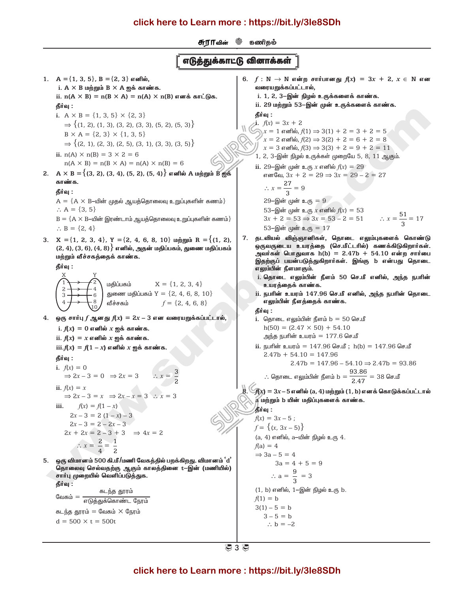® *ഞ*ി ® ம சூராவின்

## எடுத்துக்காட்டு வினாக்கள்

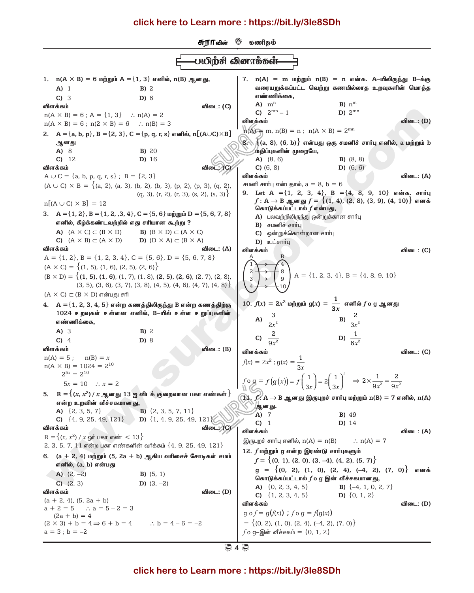

₹ 4 ₹